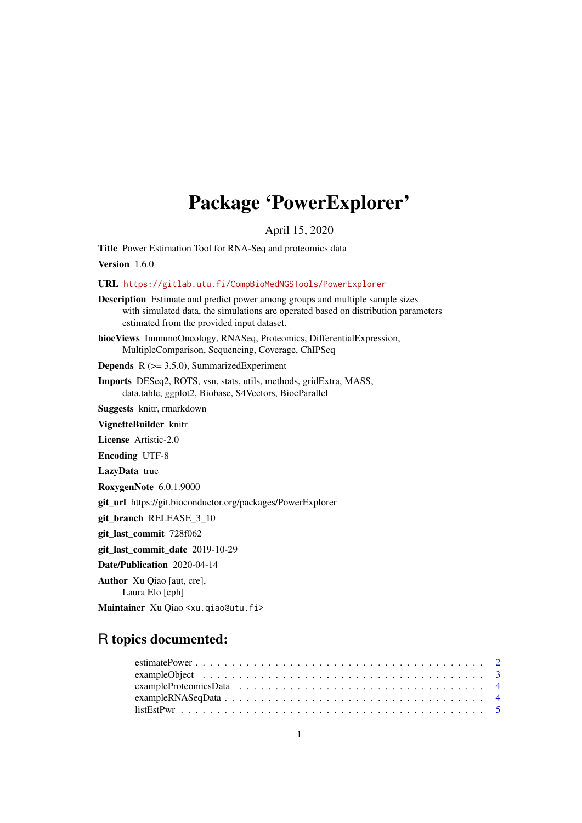## Package 'PowerExplorer'

April 15, 2020

<span id="page-0-0"></span>Title Power Estimation Tool for RNA-Seq and proteomics data

Version 1.6.0

URL <https://gitlab.utu.fi/CompBioMedNGSTools/PowerExplorer>

- Description Estimate and predict power among groups and multiple sample sizes with simulated data, the simulations are operated based on distribution parameters estimated from the provided input dataset.
- biocViews ImmunoOncology, RNASeq, Proteomics, DifferentialExpression, MultipleComparison, Sequencing, Coverage, ChIPSeq

**Depends**  $R$  ( $>= 3.5.0$ ), SummarizedExperiment

Imports DESeq2, ROTS, vsn, stats, utils, methods, gridExtra, MASS, data.table, ggplot2, Biobase, S4Vectors, BiocParallel

Suggests knitr, rmarkdown

VignetteBuilder knitr

License Artistic-2.0

Encoding UTF-8

LazyData true

RoxygenNote 6.0.1.9000

git\_url https://git.bioconductor.org/packages/PowerExplorer

git\_branch RELEASE\_3\_10

git\_last\_commit 728f062

git\_last\_commit\_date 2019-10-29

Date/Publication 2020-04-14

Author Xu Qiao [aut, cre],

Laura Elo [cph]

Maintainer Xu Qiao <xu.qiao@utu.fi>

### R topics documented:

| $exampleRNASEqData \ldots \ldots \ldots \ldots \ldots \ldots \ldots \ldots \ldots \ldots \ldots \ldots 4$ |  |
|-----------------------------------------------------------------------------------------------------------|--|
|                                                                                                           |  |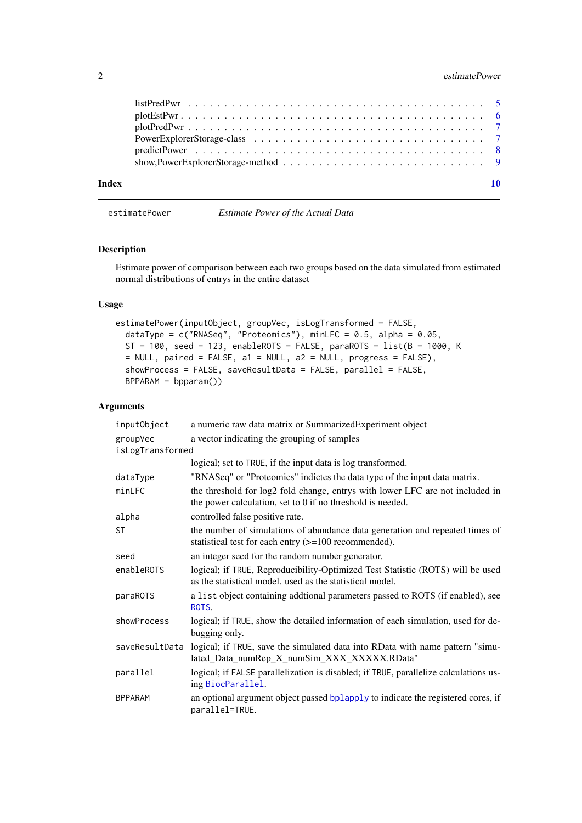#### <span id="page-1-0"></span>2 estimatePower

| Index |  |
|-------|--|
|       |  |
|       |  |
|       |  |
|       |  |
|       |  |
|       |  |

<span id="page-1-1"></span>estimatePower *Estimate Power of the Actual Data*

#### Description

Estimate power of comparison between each two groups based on the data simulated from estimated normal distributions of entrys in the entire dataset

#### Usage

```
estimatePower(inputObject, groupVec, isLogTransformed = FALSE,
 dataType = c("RNASeq", "Proteomics"), minLFC = 0.5, alpha = 0.05,
 ST = 100, seed = 123, enableROTS = FALSE, paraROTS = list(B = 1000, K
 = NULL, paired = FALSE, a1 = NULL, a2 = NULL, progress = FALSE),
 showProcess = FALSE, saveResultData = FALSE, parallel = FALSE,
 BPPARAM = bpparam()
```
#### Arguments

| inputObject      | a numeric raw data matrix or SummarizedExperiment object                                                                                      |
|------------------|-----------------------------------------------------------------------------------------------------------------------------------------------|
| groupVec         | a vector indicating the grouping of samples                                                                                                   |
| isLogTransformed |                                                                                                                                               |
|                  | logical; set to TRUE, if the input data is log transformed.                                                                                   |
| dataType         | "RNASeq" or "Proteomics" indictes the data type of the input data matrix.                                                                     |
| minLFC           | the threshold for log2 fold change, entrys with lower LFC are not included in<br>the power calculation, set to $0$ if no threshold is needed. |
| alpha            | controlled false positive rate.                                                                                                               |
| <b>ST</b>        | the number of simulations of abundance data generation and repeated times of<br>statistical test for each entry (>=100 recommended).          |
| seed             | an integer seed for the random number generator.                                                                                              |
| enableROTS       | logical; if TRUE, Reproducibility-Optimized Test Statistic (ROTS) will be used<br>as the statistical model, used as the statistical model.    |
| paraROTS         | a list object containing addtional parameters passed to ROTS (if enabled), see<br>ROTS.                                                       |
| showProcess      | logical; if TRUE, show the detailed information of each simulation, used for de-<br>bugging only.                                             |
| saveResultData   | logical; if TRUE, save the simulated data into RData with name pattern "simu-<br>lated_Data_numRep_X_numSim_XXX_XXXXX.RData"                  |
| parallel         | logical; if FALSE parallelization is disabled; if TRUE, parallelize calculations us-<br>ing BiocParallel.                                     |
| <b>BPPARAM</b>   | an optional argument object passed bplapply to indicate the registered cores, if<br>parallel=TRUE.                                            |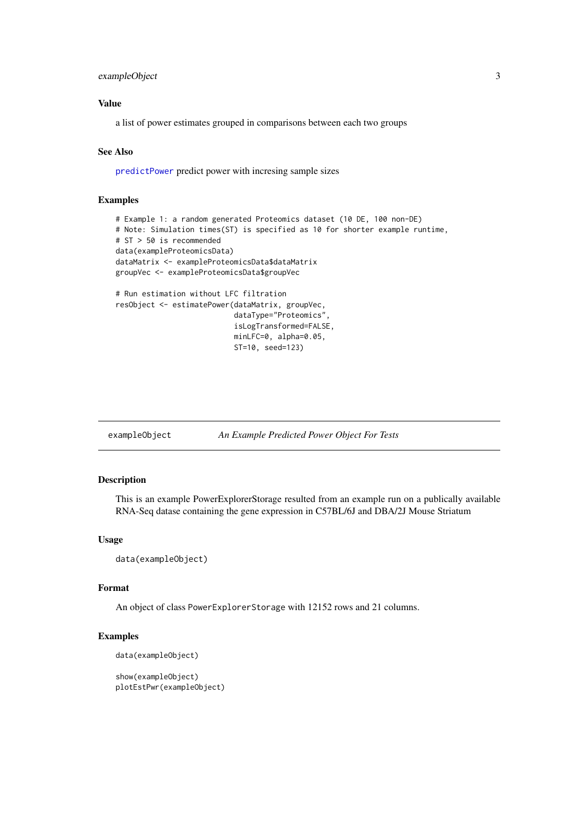#### <span id="page-2-0"></span>exampleObject 3

#### Value

a list of power estimates grouped in comparisons between each two groups

#### See Also

[predictPower](#page-7-1) predict power with incresing sample sizes

#### Examples

```
# Example 1: a random generated Proteomics dataset (10 DE, 100 non-DE)
# Note: Simulation times(ST) is specified as 10 for shorter example runtime,
# ST > 50 is recommended
data(exampleProteomicsData)
dataMatrix <- exampleProteomicsData$dataMatrix
groupVec <- exampleProteomicsData$groupVec
# Run estimation without LFC filtration
resObject <- estimatePower(dataMatrix, groupVec,
                           dataType="Proteomics",
                           isLogTransformed=FALSE,
                           minLFC=0, alpha=0.05,
                           ST=10, seed=123)
```
exampleObject *An Example Predicted Power Object For Tests*

#### Description

This is an example PowerExplorerStorage resulted from an example run on a publically available RNA-Seq datase containing the gene expression in C57BL/6J and DBA/2J Mouse Striatum

#### Usage

```
data(exampleObject)
```
#### Format

An object of class PowerExplorerStorage with 12152 rows and 21 columns.

```
data(exampleObject)
```

```
show(exampleObject)
plotEstPwr(exampleObject)
```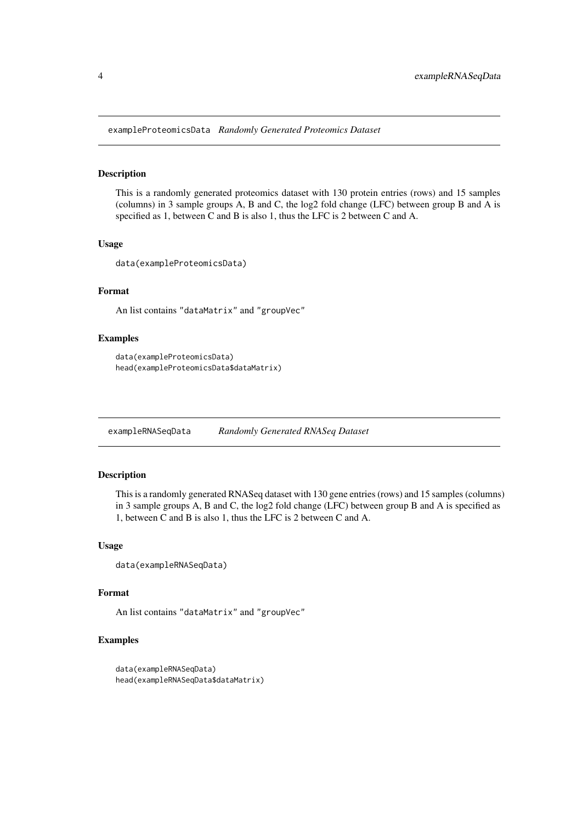<span id="page-3-0"></span>exampleProteomicsData *Randomly Generated Proteomics Dataset*

#### Description

This is a randomly generated proteomics dataset with 130 protein entries (rows) and 15 samples (columns) in 3 sample groups A, B and C, the log2 fold change (LFC) between group B and A is specified as 1, between C and B is also 1, thus the LFC is 2 between C and A.

#### Usage

```
data(exampleProteomicsData)
```
#### Format

An list contains "dataMatrix" and "groupVec"

#### Examples

```
data(exampleProteomicsData)
head(exampleProteomicsData$dataMatrix)
```
exampleRNASeqData *Randomly Generated RNASeq Dataset*

#### Description

This is a randomly generated RNASeq dataset with 130 gene entries (rows) and 15 samples (columns) in 3 sample groups A, B and C, the log2 fold change (LFC) between group B and A is specified as 1, between C and B is also 1, thus the LFC is 2 between C and A.

#### Usage

```
data(exampleRNASeqData)
```
#### Format

An list contains "dataMatrix" and "groupVec"

```
data(exampleRNASeqData)
head(exampleRNASeqData$dataMatrix)
```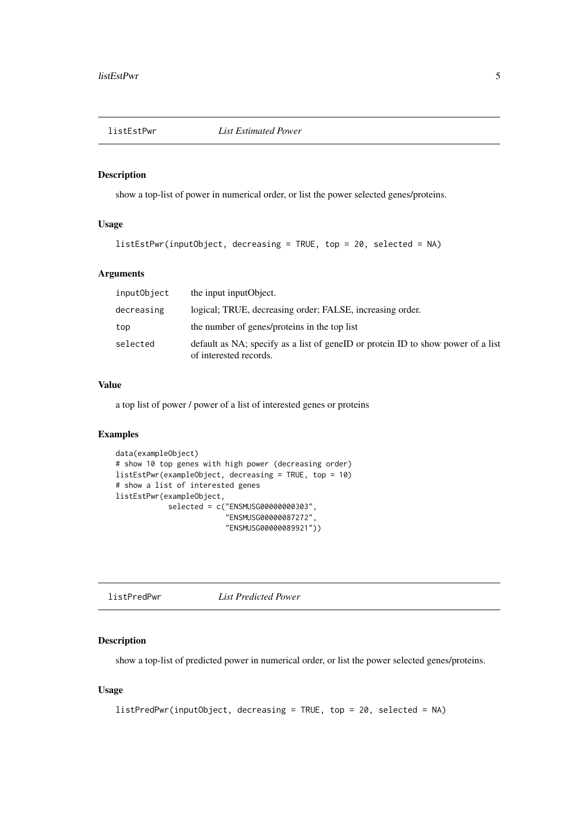<span id="page-4-0"></span>

#### Description

show a top-list of power in numerical order, or list the power selected genes/proteins.

#### Usage

```
listEstPwr(inputObject, decreasing = TRUE, top = 20, selected = NA)
```
#### Arguments

| inputObject | the input input Object.                                                                                    |
|-------------|------------------------------------------------------------------------------------------------------------|
| decreasing  | logical; TRUE, decreasing order; FALSE, increasing order.                                                  |
| top         | the number of genes/proteins in the top list                                                               |
| selected    | default as NA; specify as a list of geneID or protein ID to show power of a list<br>of interested records. |

#### Value

a top list of power / power of a list of interested genes or proteins

#### Examples

```
data(exampleObject)
# show 10 top genes with high power (decreasing order)
listEstPwr(exampleObject, decreasing = TRUE, top = 10)
# show a list of interested genes
listEstPwr(exampleObject,
            selected = c("ENSMUSG00000000303",
                         "ENSMUSG00000087272",
                         "ENSMUSG00000089921"))
```

```
listPredPwr List Predicted Power
```
#### Description

show a top-list of predicted power in numerical order, or list the power selected genes/proteins.

#### Usage

```
listPredPwr(inputObject, decreasing = TRUE, top = 20, selected = NA)
```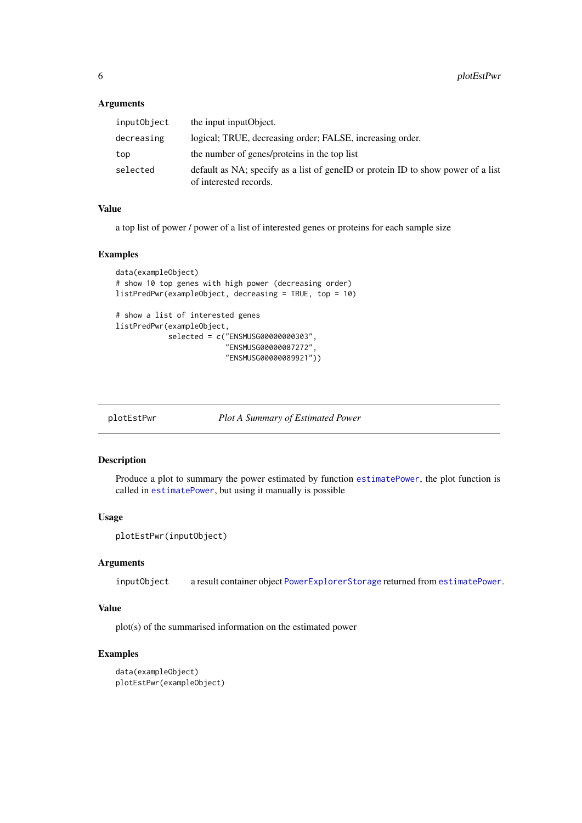#### <span id="page-5-0"></span>Arguments

| inputObject | the input input Object.                                                                                    |
|-------------|------------------------------------------------------------------------------------------------------------|
| decreasing  | logical; TRUE, decreasing order; FALSE, increasing order.                                                  |
| top         | the number of genes/proteins in the top list                                                               |
| selected    | default as NA; specify as a list of geneID or protein ID to show power of a list<br>of interested records. |

#### Value

a top list of power / power of a list of interested genes or proteins for each sample size

#### Examples

```
data(exampleObject)
# show 10 top genes with high power (decreasing order)
listPredPwr(exampleObject, decreasing = TRUE, top = 10)
# show a list of interested genes
listPredPwr(exampleObject,
            selected = c("ENSMUSG00000000303",
                         "ENSMUSG00000087272",
                         "ENSMUSG00000089921"))
```
plotEstPwr *Plot A Summary of Estimated Power*

#### Description

Produce a plot to summary the power estimated by function [estimatePower](#page-1-1), the plot function is called in [estimatePower](#page-1-1), but using it manually is possible

#### Usage

```
plotEstPwr(inputObject)
```
#### Arguments

inputObject a result container object [PowerExplorerStorage](#page-6-1) returned from [estimatePower](#page-1-1).

#### Value

plot(s) of the summarised information on the estimated power

```
data(exampleObject)
plotEstPwr(exampleObject)
```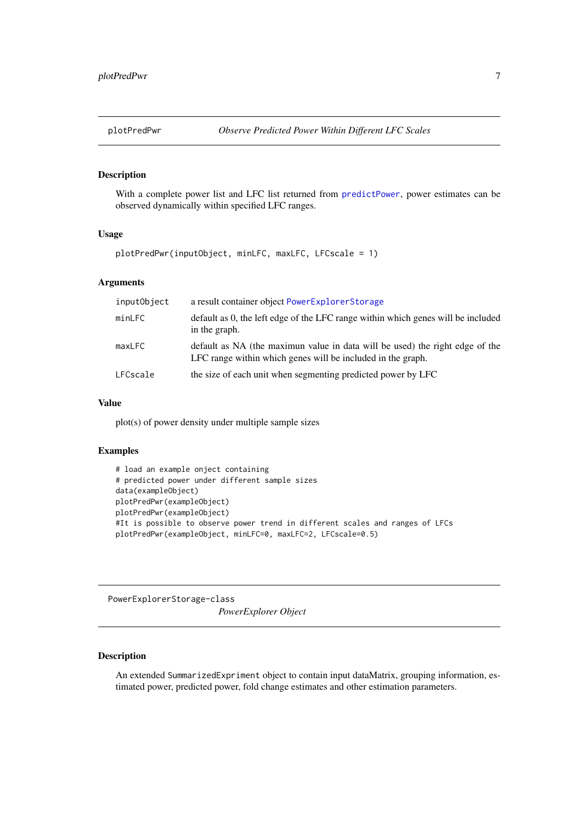<span id="page-6-0"></span>

#### Description

With a complete power list and LFC list returned from [predictPower](#page-7-1), power estimates can be observed dynamically within specified LFC ranges.

#### Usage

```
plotPredPwr(inputObject, minLFC, maxLFC, LFCscale = 1)
```
#### Arguments

| inputObject | a result container object PowerExplorerStorage                                                                                              |
|-------------|---------------------------------------------------------------------------------------------------------------------------------------------|
| minLFC      | default as 0, the left edge of the LFC range within which genes will be included<br>in the graph.                                           |
| maxLFC      | default as NA (the maximun value in data will be used) the right edge of the<br>LFC range within which genes will be included in the graph. |
| LFCscale    | the size of each unit when segmenting predicted power by LFC                                                                                |

#### Value

plot(s) of power density under multiple sample sizes

#### Examples

```
# load an example onject containing
# predicted power under different sample sizes
data(exampleObject)
plotPredPwr(exampleObject)
plotPredPwr(exampleObject)
#It is possible to observe power trend in different scales and ranges of LFCs
plotPredPwr(exampleObject, minLFC=0, maxLFC=2, LFCscale=0.5)
```
PowerExplorerStorage-class

*PowerExplorer Object*

#### <span id="page-6-1"></span>Description

An extended SummarizedExpriment object to contain input dataMatrix, grouping information, estimated power, predicted power, fold change estimates and other estimation parameters.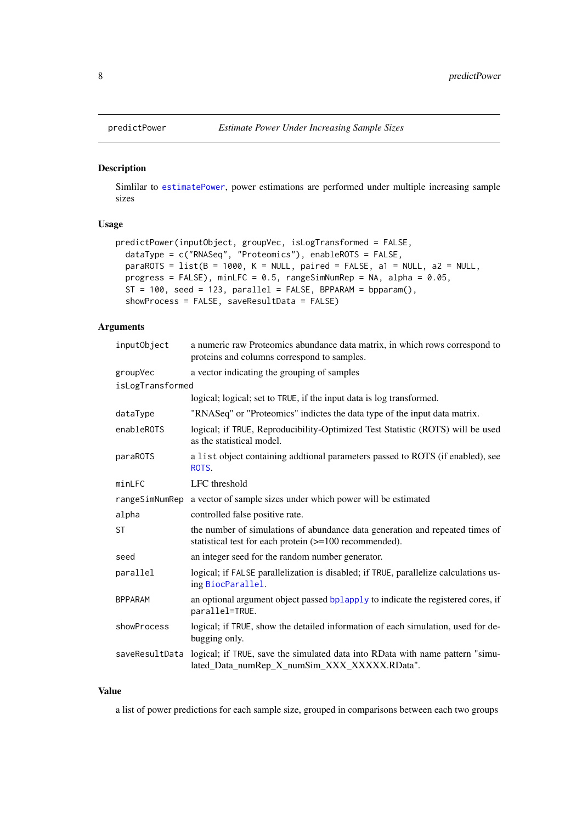<span id="page-7-1"></span><span id="page-7-0"></span>

#### Description

Simlilar to [estimatePower](#page-1-1), power estimations are performed under multiple increasing sample sizes

#### Usage

```
predictPower(inputObject, groupVec, isLogTransformed = FALSE,
 dataType = c("RNASeq", "Proteomics"), enableROTS = FALSE,
 paraROTS = list(B = 1000, K = NULL, paired = FALSE, a1 = NULL, a2 = NULL,progress = FALSE), minLFC = 0.5, rangeSimNumRep = NA, alpha = 0.05,
 ST = 100, seed = 123, parallel = FALSE, BPPARAM = bpparam(),
 showProcess = FALSE, saveResultData = FALSE)
```
#### Arguments

| inputObject      | a numeric raw Proteomics abundance data matrix, in which rows correspond to<br>proteins and columns correspond to samples.             |
|------------------|----------------------------------------------------------------------------------------------------------------------------------------|
| groupVec         | a vector indicating the grouping of samples                                                                                            |
| isLogTransformed |                                                                                                                                        |
|                  | logical; logical; set to TRUE, if the input data is log transformed.                                                                   |
| dataType         | "RNASeq" or "Proteomics" indictes the data type of the input data matrix.                                                              |
| enableROTS       | logical; if TRUE, Reproducibility-Optimized Test Statistic (ROTS) will be used<br>as the statistical model.                            |
| paraROTS         | a list object containing addtional parameters passed to ROTS (if enabled), see<br>ROTS.                                                |
| minLFC           | LFC threshold                                                                                                                          |
| rangeSimNumRep   | a vector of sample sizes under which power will be estimated                                                                           |
| alpha            | controlled false positive rate.                                                                                                        |
| <b>ST</b>        | the number of simulations of abundance data generation and repeated times of<br>statistical test for each protein (>=100 recommended). |
| seed             | an integer seed for the random number generator.                                                                                       |
| parallel         | logical; if FALSE parallelization is disabled; if TRUE, parallelize calculations us-<br>ing BiocParallel.                              |
| <b>BPPARAM</b>   | an optional argument object passed bplapply to indicate the registered cores, if<br>parallel=TRUE.                                     |
| showProcess      | logical; if TRUE, show the detailed information of each simulation, used for de-<br>bugging only.                                      |
| saveResultData   | logical; if TRUE, save the simulated data into RData with name pattern "simu-<br>lated_Data_numRep_X_numSim_XXX_XXXXX.RData".          |

#### Value

a list of power predictions for each sample size, grouped in comparisons between each two groups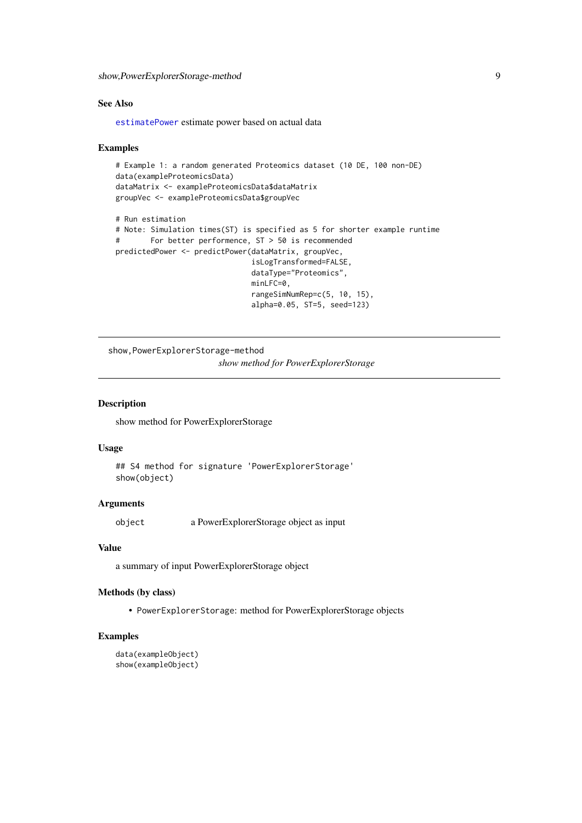<span id="page-8-0"></span>show,PowerExplorerStorage-method 9

#### See Also

[estimatePower](#page-1-1) estimate power based on actual data

#### Examples

```
# Example 1: a random generated Proteomics dataset (10 DE, 100 non-DE)
data(exampleProteomicsData)
dataMatrix <- exampleProteomicsData$dataMatrix
groupVec <- exampleProteomicsData$groupVec
# Run estimation
# Note: Simulation times(ST) is specified as 5 for shorter example runtime
# For better performence, ST > 50 is recommended
predictedPower <- predictPower(dataMatrix, groupVec,
                              isLogTransformed=FALSE,
                              dataType="Proteomics",
                              minLFC=0,
                              rangeSimNumRep=c(5, 10, 15),
                              alpha=0.05, ST=5, seed=123)
```
show,PowerExplorerStorage-method *show method for PowerExplorerStorage*

#### Description

show method for PowerExplorerStorage

#### Usage

```
## S4 method for signature 'PowerExplorerStorage'
show(object)
```
#### Arguments

object a PowerExplorerStorage object as input

#### Value

a summary of input PowerExplorerStorage object

#### Methods (by class)

• PowerExplorerStorage: method for PowerExplorerStorage objects

```
data(exampleObject)
show(exampleObject)
```